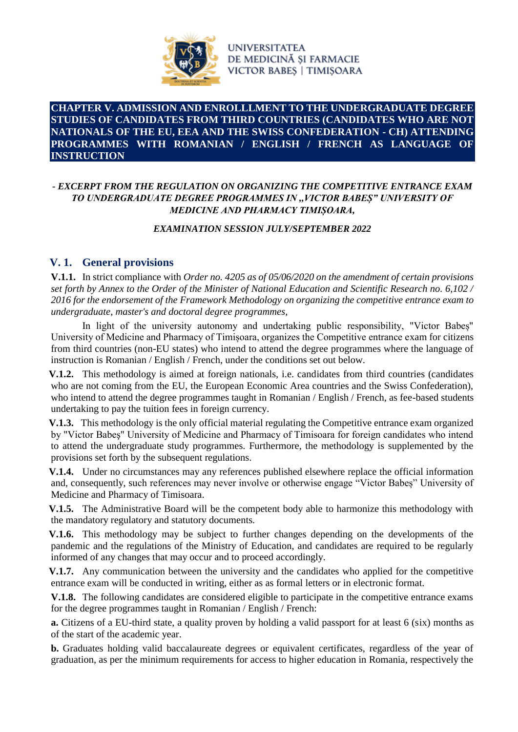

### **CHAPTER V. ADMISSION AND ENROLLLMENT TO THE UNDERGRADUATE DEGREE STUDIES OF CANDIDATES FROM THIRD COUNTRIES (CANDIDATES WHO ARE NOT NATIONALS OF THE EU, EEA AND THE SWISS CONFEDERATION - CH) ATTENDING PROGRAMMES WITH ROMANIAN / ENGLISH / FRENCH AS LANGUAGE OF INSTRUCTION**

### *- EXCERPT FROM THE REGULATION ON ORGANIZING THE COMPETITIVE ENTRANCE EXAM TO UNDERGRADUATE DEGREE PROGRAMMES IN ,,VICTOR BABEȘ" UNIVERSITY OF MEDICINE AND PHARMACY TIMIȘOARA,*

### *EXAMINATION SESSION JULY/SEPTEMBER 2022*

## **V. 1. General provisions**

**V.1.1.** In strict compliance with *Order no. 4205 as of 05/06/2020 on the amendment of certain provisions set forth by Annex to the Order of the Minister of National Education and Scientific Research no. 6,102 / 2016 for the endorsement of the Framework Methodology on organizing the competitive entrance exam to undergraduate, master's and doctoral degree programmes,*

In light of the university autonomy and undertaking public responsibility, "Victor Babeș" University of Medicine and Pharmacy of Timișoara, organizes the Competitive entrance exam for citizens from third countries (non-EU states) who intend to attend the degree programmes where the language of instruction is Romanian / English / French, under the conditions set out below.

**V.1.2.** This methodology is aimed at foreign nationals, i.e. candidates from third countries (candidates who are not coming from the EU, the European Economic Area countries and the Swiss Confederation), who intend to attend the degree programmes taught in Romanian / English / French, as fee-based students undertaking to pay the tuition fees in foreign currency.

**V.1.3.** This methodology is the only official material regulating the Competitive entrance exam organized by "Victor Babeş" University of Medicine and Pharmacy of Timisoara for foreign candidates who intend to attend the undergraduate study programmes. Furthermore, the methodology is supplemented by the provisions set forth by the subsequent regulations.

**V.1.4.** Under no circumstances may any references published elsewhere replace the official information and, consequently, such references may never involve or otherwise engage "Victor Babeș" University of Medicine and Pharmacy of Timisoara.

**V.1.5.** The Administrative Board will be the competent body able to harmonize this methodology with the mandatory regulatory and statutory documents.

**V.1.6.** This methodology may be subject to further changes depending on the developments of the pandemic and the regulations of the Ministry of Education, and candidates are required to be regularly informed of any changes that may occur and to proceed accordingly.

**V.1.7.** Any communication between the university and the candidates who applied for the competitive entrance exam will be conducted in writing, either as as formal letters or in electronic format.

**V.1.8.** The following candidates are considered eligible to participate in the competitive entrance exams for the degree programmes taught in Romanian / English / French:

**a.** Citizens of a EU-third state, a quality proven by holding a valid passport for at least 6 (six) months as of the start of the academic year.

**b.** Graduates holding valid baccalaureate degrees or equivalent certificates, regardless of the year of graduation, as per the minimum requirements for access to higher education in Romania, respectively the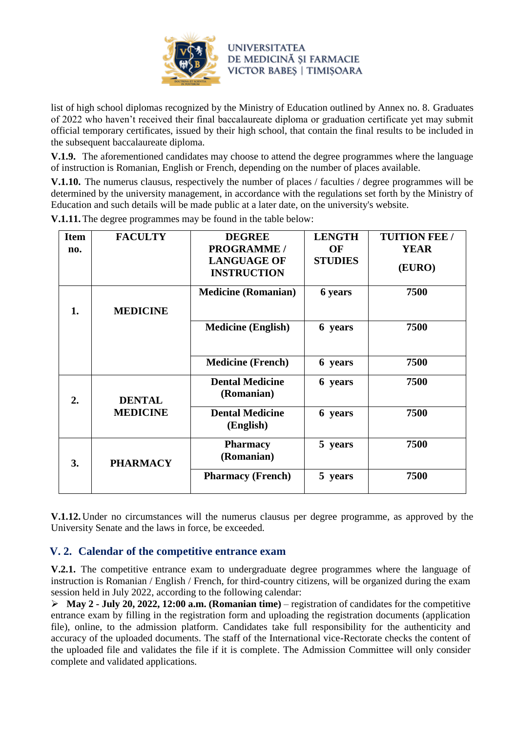

list of high school diplomas recognized by the Ministry of Education outlined by Annex no. 8. Graduates of 2022 who haven't received their final baccalaureate diploma or graduation certificate yet may submit official temporary certificates, issued by their high school, that contain the final results to be included in the subsequent baccalaureate diploma.

**V.1.9.** The aforementioned candidates may choose to attend the degree programmes where the language of instruction is Romanian, English or French, depending on the number of places available.

**V.1.10.** The numerus clausus, respectively the number of places / faculties / degree programmes will be determined by the university management, in accordance with the regulations set forth by the Ministry of Education and such details will be made public at a later date, on the university's website.

| <b>Item</b> | <b>FACULTY</b>                   | <b>DEGREE</b>                            | <b>LENGTH</b>  | <b>TUITION FEE /</b> |
|-------------|----------------------------------|------------------------------------------|----------------|----------------------|
| no.         |                                  | <b>PROGRAMME /</b>                       | OF             | <b>YEAR</b>          |
|             |                                  | <b>LANGUAGE OF</b><br><b>INSTRUCTION</b> | <b>STUDIES</b> | (EURO)               |
| 1.          | <b>MEDICINE</b>                  | <b>Medicine (Romanian)</b>               | 6 years        | 7500                 |
|             |                                  |                                          |                |                      |
|             |                                  | <b>Medicine (English)</b>                | 6 years        | 7500                 |
|             |                                  | <b>Medicine (French)</b>                 | 6 years        | 7500                 |
| 2.          | <b>DENTAL</b><br><b>MEDICINE</b> | <b>Dental Medicine</b><br>(Romanian)     | 6 years        | 7500                 |
|             |                                  | <b>Dental Medicine</b><br>(English)      | 6 years        | 7500                 |
| 3.          | <b>PHARMACY</b>                  | <b>Pharmacy</b><br>(Romanian)            | 5 years        | 7500                 |
|             |                                  | <b>Pharmacy (French)</b>                 | 5 years        | 7500                 |

**V.1.11.**The degree programmes may be found in the table below:

**V.1.12.** Under no circumstances will the numerus clausus per degree programme, as approved by the University Senate and the laws in force, be exceeded.

## **V. 2. Calendar of the competitive entrance exam**

**V.2.1.** The competitive entrance exam to undergraduate degree programmes where the language of instruction is Romanian / English / French, for third-country citizens, will be organized during the exam session held in July 2022, according to the following calendar:

➢ **May 2 - July 20, 2022, 12:00 a.m. (Romanian time)** – registration of candidates for the competitive entrance exam by filling in the registration form and uploading the registration documents (application file), online, to the admission platform. Candidates take full responsibility for the authenticity and accuracy of the uploaded documents. The staff of the International vice-Rectorate checks the content of the uploaded file and validates the file if it is complete. The Admission Committee will only consider complete and validated applications.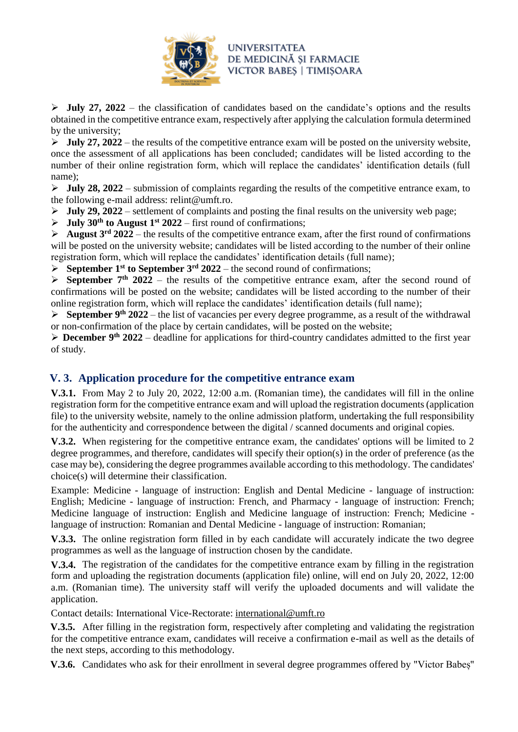

➢ **July 27, 2022** – the classification of candidates based on the candidate's options and the results obtained in the competitive entrance exam, respectively after applying the calculation formula determined by the university;

 $\triangleright$  **July 27, 2022** – the results of the competitive entrance exam will be posted on the university website, once the assessment of all applications has been concluded; candidates will be listed according to the number of their online registration form, which will replace the candidates' identification details (full name);

 $\triangleright$  **July 28, 2022** – submission of complaints regarding the results of the competitive entrance exam, to the following e-mail address: relint@umft.ro.

 $\triangleright$  **July 29, 2022** – settlement of complaints and posting the final results on the university web page;

 $\triangleright$  **July 30<sup>th</sup> to August 1<sup>st</sup>** 2022 – first round of confirmations;

➢ **August 3rd 2022** – the results of the competitive entrance exam, after the first round of confirmations will be posted on the university website; candidates will be listed according to the number of their online registration form, which will replace the candidates' identification details (full name);

 $\triangleright$  **September 1<sup>st</sup> to September 3<sup>rd</sup> 2022** – the second round of confirmations;

 $\triangleright$  **September 7<sup>th</sup>** 2022 – the results of the competitive entrance exam, after the second round of confirmations will be posted on the website; candidates will be listed according to the number of their online registration form, which will replace the candidates' identification details (full name);

➢ **September 9th 2022** – the list of vacancies per every degree programme, as a result of the withdrawal or non-confirmation of the place by certain candidates, will be posted on the website;

➢ **December 9th 2022** – deadline for applications for third-country candidates admitted to the first year of study.

## **V. 3. Application procedure for the competitive entrance exam**

**V.3.1.** From May 2 to July 20, 2022, 12:00 a.m. (Romanian time), the candidates will fill in the online registration form for the competitive entrance exam and will upload the registration documents (application file) to the university website, namely to the online admission platform, undertaking the full responsibility for the authenticity and correspondence between the digital / scanned documents and original copies.

**V.3.2.** When registering for the competitive entrance exam, the candidates' options will be limited to 2 degree programmes, and therefore, candidates will specify their option(s) in the order of preference (as the case may be), considering the degree programmes available according to this methodology. The candidates' choice(s) will determine their classification.

Example: Medicine - language of instruction: English and Dental Medicine - language of instruction: English; Medicine - language of instruction: French, and Pharmacy - language of instruction: French; Medicine language of instruction: English and Medicine language of instruction: French; Medicine language of instruction: Romanian and Dental Medicine - language of instruction: Romanian;

**V.3.3.** The online registration form filled in by each candidate will accurately indicate the two degree programmes as well as the language of instruction chosen by the candidate.

**V.3.4.** The registration of the candidates for the competitive entrance exam by filling in the registration form and uploading the registration documents (application file) online, will end on July 20, 2022, 12:00 a.m. (Romanian time). The university staff will verify the uploaded documents and will validate the application.

Contact details: International Vice-Rectorate: [international@umft.ro](mailto:international@umft.ro)

**V.3.5.** After filling in the registration form, respectively after completing and validating the registration for the competitive entrance exam, candidates will receive a confirmation e-mail as well as the details of the next steps, according to this methodology.

**V.3.6.** Candidates who ask for their enrollment in several degree programmes offered by "Victor Babeș"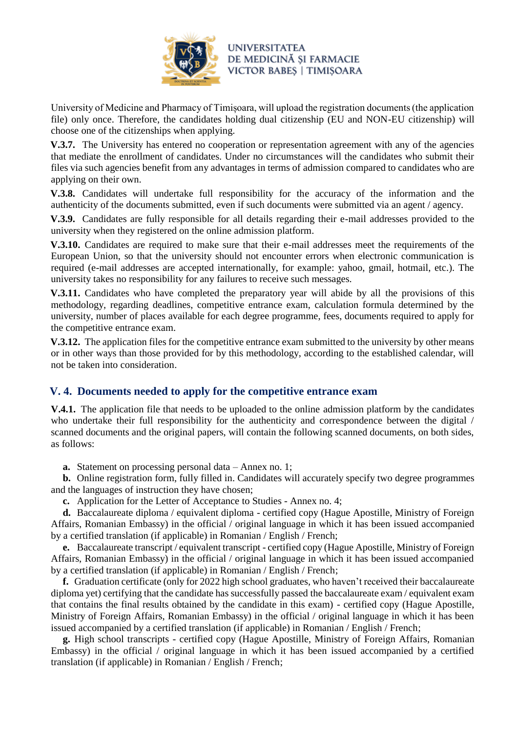

University of Medicine and Pharmacy of Timișoara, will upload the registration documents (the application file) only once. Therefore, the candidates holding dual citizenship (EU and NON-EU citizenship) will choose one of the citizenships when applying.

**V.3.7.** The University has entered no cooperation or representation agreement with any of the agencies that mediate the enrollment of candidates. Under no circumstances will the candidates who submit their files via such agencies benefit from any advantages in terms of admission compared to candidates who are applying on their own.

**V.3.8.** Candidates will undertake full responsibility for the accuracy of the information and the authenticity of the documents submitted, even if such documents were submitted via an agent / agency.

**V.3.9.** Candidates are fully responsible for all details regarding their e-mail addresses provided to the university when they registered on the online admission platform.

**V.3.10.** Candidates are required to make sure that their e-mail addresses meet the requirements of the European Union, so that the university should not encounter errors when electronic communication is required (e-mail addresses are accepted internationally, for example: yahoo, gmail, hotmail, etc.). The university takes no responsibility for any failures to receive such messages.

**V.3.11.** Candidates who have completed the preparatory year will abide by all the provisions of this methodology, regarding deadlines, competitive entrance exam, calculation formula determined by the university, number of places available for each degree programme, fees, documents required to apply for the competitive entrance exam.

**V.3.12.** The application files for the competitive entrance exam submitted to the university by other means or in other ways than those provided for by this methodology, according to the established calendar, will not be taken into consideration.

## **V. 4. Documents needed to apply for the competitive entrance exam**

**V.4.1.** The application file that needs to be uploaded to the online admission platform by the candidates who undertake their full responsibility for the authenticity and correspondence between the digital / scanned documents and the original papers, will contain the following scanned documents, on both sides, as follows:

**a.** Statement on processing personal data – Annex no. 1;

**b.** Online registration form, fully filled in. Candidates will accurately specify two degree programmes and the languages of instruction they have chosen;

**c.** Application for the Letter of Acceptance to Studies - Annex no. 4;

**d.** Baccalaureate diploma / equivalent diploma - certified copy (Hague Apostille, Ministry of Foreign Affairs, Romanian Embassy) in the official / original language in which it has been issued accompanied by a certified translation (if applicable) in Romanian / English / French;

**e.** Baccalaureate transcript / equivalent transcript - certified copy (Hague Apostille, Ministry of Foreign Affairs, Romanian Embassy) in the official / original language in which it has been issued accompanied by a certified translation (if applicable) in Romanian / English / French;

**f.** Graduation certificate (only for 2022 high school graduates, who haven't received their baccalaureate diploma yet) certifying that the candidate has successfully passed the baccalaureate exam / equivalent exam that contains the final results obtained by the candidate in this exam) - certified copy (Hague Apostille, Ministry of Foreign Affairs, Romanian Embassy) in the official / original language in which it has been issued accompanied by a certified translation (if applicable) in Romanian / English / French;

**g.** High school transcripts - certified copy (Hague Apostille, Ministry of Foreign Affairs, Romanian Embassy) in the official / original language in which it has been issued accompanied by a certified translation (if applicable) in Romanian / English / French;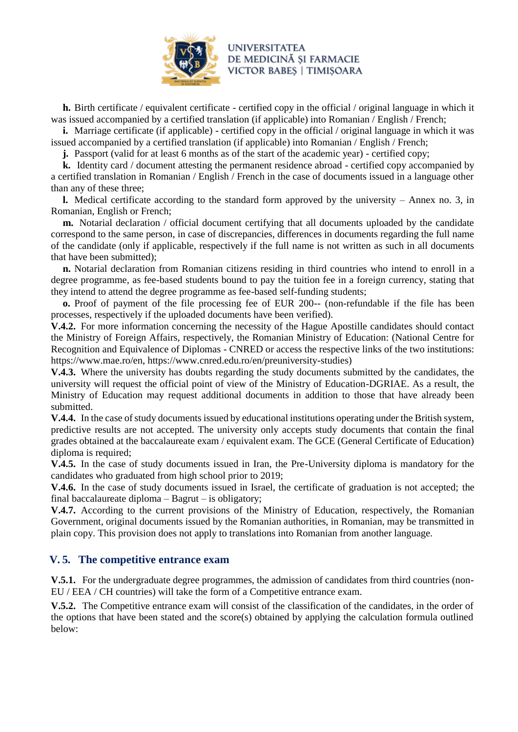

**h.** Birth certificate / equivalent certificate - certified copy in the official / original language in which it was issued accompanied by a certified translation (if applicable) into Romanian / English / French;

**i.** Marriage certificate (if applicable) - certified copy in the official / original language in which it was issued accompanied by a certified translation (if applicable) into Romanian / English / French;

**j.** Passport (valid for at least 6 months as of the start of the academic year) - certified copy;

**k.** Identity card / document attesting the permanent residence abroad - certified copy accompanied by a certified translation in Romanian / English / French in the case of documents issued in a language other than any of these three;

**l.** Medical certificate according to the standard form approved by the university – Annex no. 3, in Romanian, English or French;

**m.** Notarial declaration / official document certifying that all documents uploaded by the candidate correspond to the same person, in case of discrepancies, differences in documents regarding the full name of the candidate (only if applicable, respectively if the full name is not written as such in all documents that have been submitted);

**n.** Notarial declaration from Romanian citizens residing in third countries who intend to enroll in a degree programme, as fee-based students bound to pay the tuition fee in a foreign currency, stating that they intend to attend the degree programme as fee-based self-funding students;

**o.** Proof of payment of the file processing fee of EUR 200-- (non-refundable if the file has been processes, respectively if the uploaded documents have been verified).

**V.4.2.** For more information concerning the necessity of the Hague Apostille candidates should contact the Ministry of Foreign Affairs, respectively, the Romanian Ministry of Education: (National Centre for Recognition and Equivalence of Diplomas - CNRED or access the respective links of the two institutions: https://www.mae.ro/en, https://www.cnred.edu.ro/en/preuniversity-studies)

**V.4.3.** Where the university has doubts regarding the study documents submitted by the candidates, the university will request the official point of view of the Ministry of Education-DGRIAE. As a result, the Ministry of Education may request additional documents in addition to those that have already been submitted.

V.4.4. In the case of study documents issued by educational institutions operating under the British system, predictive results are not accepted. The university only accepts study documents that contain the final grades obtained at the baccalaureate exam / equivalent exam. The GCE (General Certificate of Education) diploma is required;

**V.4.5.** In the case of study documents issued in Iran, the Pre-University diploma is mandatory for the candidates who graduated from high school prior to 2019;

**V.4.6.** In the case of study documents issued in Israel, the certificate of graduation is not accepted; the final baccalaureate diploma – Bagrut – is obligatory;

**V.4.7.** According to the current provisions of the Ministry of Education, respectively, the Romanian Government, original documents issued by the Romanian authorities, in Romanian, may be transmitted in plain copy. This provision does not apply to translations into Romanian from another language.

## **V. 5. The competitive entrance exam**

**V.5.1.** For the undergraduate degree programmes, the admission of candidates from third countries (non-EU / EEA / CH countries) will take the form of a Competitive entrance exam.

**V.5.2.** The Competitive entrance exam will consist of the classification of the candidates, in the order of the options that have been stated and the score(s) obtained by applying the calculation formula outlined below: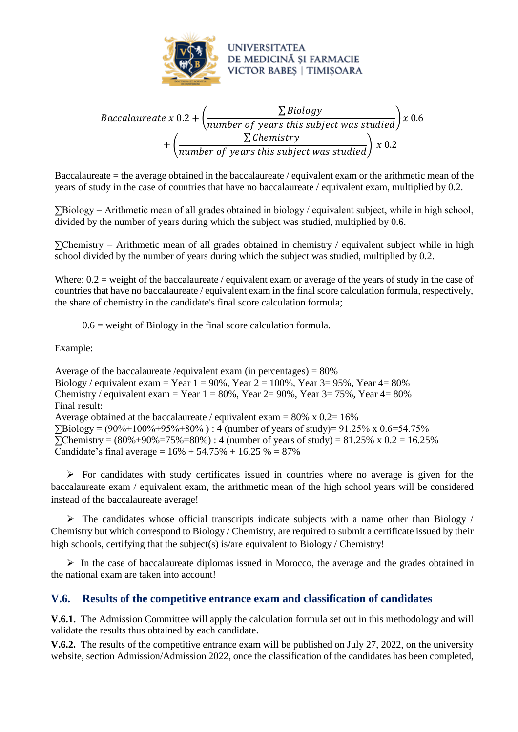

$$
Baccalaureate x 0.2 + \left(\frac{\sum Biology}{number\ of\ years\ this\ subject\ was\ studied}\right)x 0.6 + \left(\frac{\sum Chemistry}{number\ of\ years\ this\ subject\ was\ studied}\right)x 0.2
$$

Baccalaureate = the average obtained in the baccalaureate / equivalent exam or the arithmetic mean of the years of study in the case of countries that have no baccalaureate / equivalent exam, multiplied by 0.2.

∑Biology = Arithmetic mean of all grades obtained in biology / equivalent subject, while in high school, divided by the number of years during which the subject was studied, multiplied by 0.6.

∑Chemistry = Arithmetic mean of all grades obtained in chemistry / equivalent subject while in high school divided by the number of years during which the subject was studied, multiplied by 0.2.

Where:  $0.2$  = weight of the baccalaureate / equivalent exam or average of the years of study in the case of countries that have no baccalaureate / equivalent exam in the final score calculation formula, respectively, the share of chemistry in the candidate's final score calculation formula;

 $0.6$  = weight of Biology in the final score calculation formula.

#### Example:

Average of the baccalaureate /equivalent exam (in percentages)  $= 80\%$ Biology / equivalent exam = Year  $1 = 90\%$ , Year  $2 = 100\%$ , Year  $3 = 95\%$ , Year  $4 = 80\%$ Chemistry / equivalent exam = Year  $1 = 80\%$ , Year  $2 = 90\%$ , Year  $3 = 75\%$ , Year  $4 = 80\%$ Final result: Average obtained at the baccalaureate / equivalent exam =  $80\% \times 0.2=16\%$  $\Sigma$ Biology = (90%+100%+95%+80%) : 4 (number of years of study)= 91.25% x 0.6=54.75%  $\Sigma$ Chemistry = (80%+90%=75%=80%) : 4 (number of years of study) = 81.25% x 0.2 = 16.25% Candidate's final average =  $16\% + 54.75\% + 16.25\% = 87\%$ 

 $\triangleright$  For candidates with study certificates issued in countries where no average is given for the baccalaureate exam / equivalent exam, the arithmetic mean of the high school years will be considered instead of the baccalaureate average!

 $\triangleright$  The candidates whose official transcripts indicate subjects with a name other than Biology / Chemistry but which correspond to Biology / Chemistry, are required to submit a certificate issued by their high schools, certifying that the subject(s) is/are equivalent to Biology / Chemistry!

 $\triangleright$  In the case of baccalaureate diplomas issued in Morocco, the average and the grades obtained in the national exam are taken into account!

## **V.6. Results of the competitive entrance exam and classification of candidates**

**V.6.1.** The Admission Committee will apply the calculation formula set out in this methodology and will validate the results thus obtained by each candidate.

**V.6.2.** The results of the competitive entrance exam will be published on July 27, 2022, on the university website, section Admission/Admission 2022, once the classification of the candidates has been completed,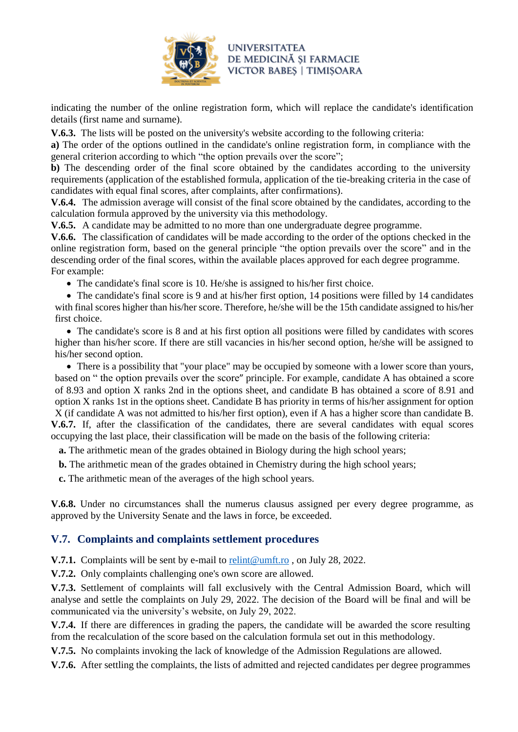

indicating the number of the online registration form, which will replace the candidate's identification details (first name and surname).

**V.6.3.** The lists will be posted on the university's website according to the following criteria:

**a)** The order of the options outlined in the candidate's online registration form, in compliance with the general criterion according to which "the option prevails over the score";

**b**) The descending order of the final score obtained by the candidates according to the university requirements (application of the established formula, application of the tie-breaking criteria in the case of candidates with equal final scores, after complaints, after confirmations).

**V.6.4.** The admission average will consist of the final score obtained by the candidates, according to the calculation formula approved by the university via this methodology.

**V.6.5.** A candidate may be admitted to no more than one undergraduate degree programme.

**V.6.6.** The classification of candidates will be made according to the order of the options checked in the online registration form, based on the general principle "the option prevails over the score" and in the descending order of the final scores, within the available places approved for each degree programme. For example:

• The candidate's final score is 10. He/she is assigned to his/her first choice.

• The candidate's final score is 9 and at his/her first option, 14 positions were filled by 14 candidates with final scores higher than his/her score. Therefore, he/she will be the 15th candidate assigned to his/her first choice.

• The candidate's score is 8 and at his first option all positions were filled by candidates with scores higher than his/her score. If there are still vacancies in his/her second option, he/she will be assigned to his/her second option.

• There is a possibility that "your place" may be occupied by someone with a lower score than yours, based on " the option prevails over the score" principle. For example, candidate A has obtained a score of 8.93 and option X ranks 2nd in the options sheet, and candidate B has obtained a score of 8.91 and option X ranks 1st in the options sheet. Candidate B has priority in terms of his/her assignment for option X (if candidate A was not admitted to his/her first option), even if A has a higher score than candidate B. **V.6.7.** If, after the classification of the candidates, there are several candidates with equal scores occupying the last place, their classification will be made on the basis of the following criteria:

**a.** The arithmetic mean of the grades obtained in Biology during the high school years;

**b.** The arithmetic mean of the grades obtained in Chemistry during the high school years;

**c.** The arithmetic mean of the averages of the high school years.

**V.6.8.** Under no circumstances shall the numerus clausus assigned per every degree programme, as approved by the University Senate and the laws in force, be exceeded.

## **V.7. Complaints and complaints settlement procedures**

**V.7.1.** Complaints will be sent by e-mail to [relint@umft.ro](mailto:relint@umft.ro), on July 28, 2022.

**V.7.2.** Only complaints challenging one's own score are allowed.

**V.7.3.** Settlement of complaints will fall exclusively with the Central Admission Board, which will analyse and settle the complaints on July 29, 2022. The decision of the Board will be final and will be communicated via the university's website, on July 29, 2022.

**V.7.4.** If there are differences in grading the papers, the candidate will be awarded the score resulting from the recalculation of the score based on the calculation formula set out in this methodology.

**V.7.5.** No complaints invoking the lack of knowledge of the Admission Regulations are allowed.

**V.7.6.** After settling the complaints, the lists of admitted and rejected candidates per degree programmes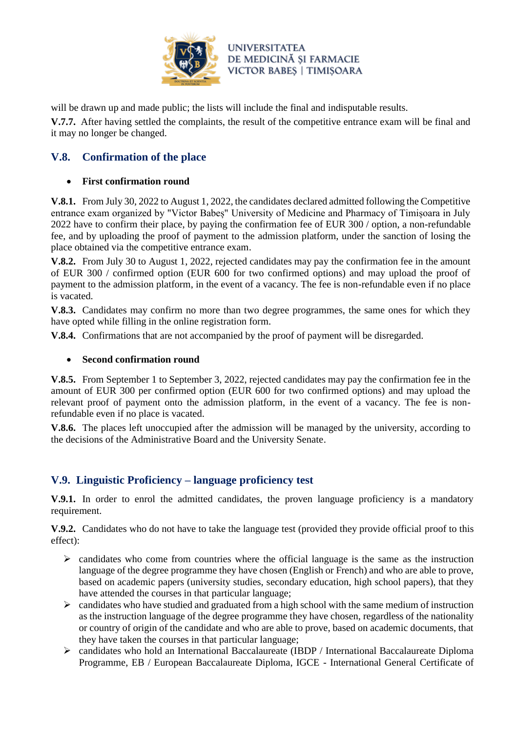

will be drawn up and made public; the lists will include the final and indisputable results.

**V.7.7.** After having settled the complaints, the result of the competitive entrance exam will be final and it may no longer be changed.

# **V.8. Confirmation of the place**

### • **First confirmation round**

**V.8.1.** From July 30, 2022 to August 1, 2022, the candidates declared admitted following the Competitive entrance exam organized by "Victor Babeș" University of Medicine and Pharmacy of Timișoara in July 2022 have to confirm their place, by paying the confirmation fee of EUR 300 / option, a non-refundable fee, and by uploading the proof of payment to the admission platform, under the sanction of losing the place obtained via the competitive entrance exam.

**V.8.2.** From July 30 to August 1, 2022, rejected candidates may pay the confirmation fee in the amount of EUR 300 / confirmed option (EUR 600 for two confirmed options) and may upload the proof of payment to the admission platform, in the event of a vacancy. The fee is non-refundable even if no place is vacated.

**V.8.3.** Candidates may confirm no more than two degree programmes, the same ones for which they have opted while filling in the online registration form.

**V.8.4.** Confirmations that are not accompanied by the proof of payment will be disregarded.

### • **Second confirmation round**

**V.8.5.** From September 1 to September 3, 2022, rejected candidates may pay the confirmation fee in the amount of EUR 300 per confirmed option (EUR 600 for two confirmed options) and may upload the relevant proof of payment onto the admission platform, in the event of a vacancy. The fee is nonrefundable even if no place is vacated.

**V.8.6.** The places left unoccupied after the admission will be managed by the university, according to the decisions of the Administrative Board and the University Senate.

# **V.9. Linguistic Proficiency – language proficiency test**

**V.9.1.** In order to enrol the admitted candidates, the proven language proficiency is a mandatory requirement.

**V.9.2.** Candidates who do not have to take the language test (provided they provide official proof to this effect):

- $\triangleright$  candidates who come from countries where the official language is the same as the instruction language of the degree programme they have chosen (English or French) and who are able to prove, based on academic papers (university studies, secondary education, high school papers), that they have attended the courses in that particular language;
- $\triangleright$  candidates who have studied and graduated from a high school with the same medium of instruction as the instruction language of the degree programme they have chosen, regardless of the nationality or country of origin of the candidate and who are able to prove, based on academic documents, that they have taken the courses in that particular language;
- ➢ candidates who hold an International Baccalaureate (IBDP / International Baccalaureate Diploma Programme, EB / European Baccalaureate Diploma, IGCE - International General Certificate of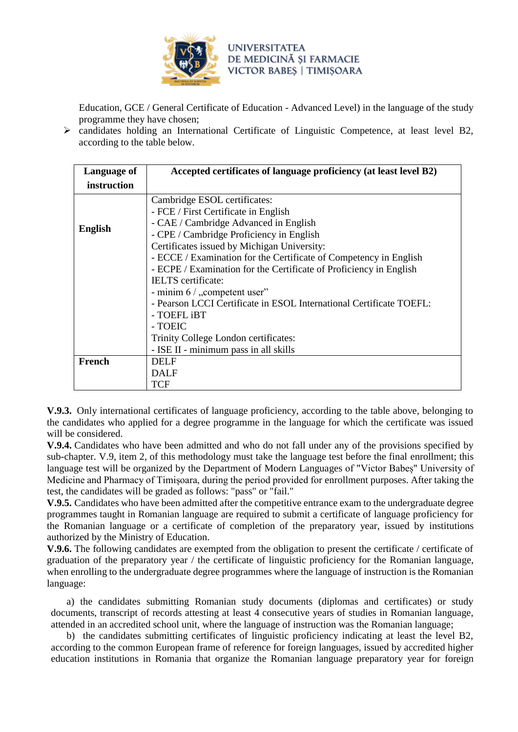

Education, GCE / General Certificate of Education - Advanced Level) in the language of the study programme they have chosen;

➢ candidates holding an International Certificate of Linguistic Competence, at least level B2, according to the table below.

| Language of    | Accepted certificates of language proficiency (at least level B2)   |  |  |
|----------------|---------------------------------------------------------------------|--|--|
| instruction    |                                                                     |  |  |
|                | Cambridge ESOL certificates:                                        |  |  |
|                | - FCE / First Certificate in English                                |  |  |
|                | - CAE / Cambridge Advanced in English                               |  |  |
| <b>English</b> | - CPE / Cambridge Proficiency in English                            |  |  |
|                | Certificates issued by Michigan University:                         |  |  |
|                | - ECCE / Examination for the Certificate of Competency in English   |  |  |
|                | - ECPE / Examination for the Certificate of Proficiency in English  |  |  |
|                | IELTS certificate:                                                  |  |  |
|                | - minim 6 / "competent user"                                        |  |  |
|                | - Pearson LCCI Certificate in ESOL International Certificate TOEFL: |  |  |
|                | - TOEFL iBT                                                         |  |  |
|                | - TOEIC                                                             |  |  |
|                | Trinity College London certificates:                                |  |  |
|                | - ISE II - minimum pass in all skills                               |  |  |
| French         | <b>DELF</b>                                                         |  |  |
|                | <b>DALF</b>                                                         |  |  |
|                | TCF                                                                 |  |  |

**V.9.3.** Only international certificates of language proficiency, according to the table above, belonging to the candidates who applied for a degree programme in the language for which the certificate was issued will be considered.

**V.9.4.** Candidates who have been admitted and who do not fall under any of the provisions specified by sub-chapter. V.9, item 2, of this methodology must take the language test before the final enrollment; this language test will be organized by the Department of Modern Languages of "Victor Babeș" University of Medicine and Pharmacy of Timișoara, during the period provided for enrollment purposes. After taking the test, the candidates will be graded as follows: "pass" or "fail."

**V.9.5.** Candidates who have been admitted after the competitive entrance exam to the undergraduate degree programmes taught in Romanian language are required to submit a certificate of language proficiency for the Romanian language or a certificate of completion of the preparatory year, issued by institutions authorized by the Ministry of Education.

**V.9.6.** The following candidates are exempted from the obligation to present the certificate / certificate of graduation of the preparatory year / the certificate of linguistic proficiency for the Romanian language, when enrolling to the undergraduate degree programmes where the language of instruction is the Romanian language:

a) the candidates submitting Romanian study documents (diplomas and certificates) or study documents, transcript of records attesting at least 4 consecutive years of studies in Romanian language, attended in an accredited school unit, where the language of instruction was the Romanian language;

b) the candidates submitting certificates of linguistic proficiency indicating at least the level B2, according to the common European frame of reference for foreign languages, issued by accredited higher education institutions in Romania that organize the Romanian language preparatory year for foreign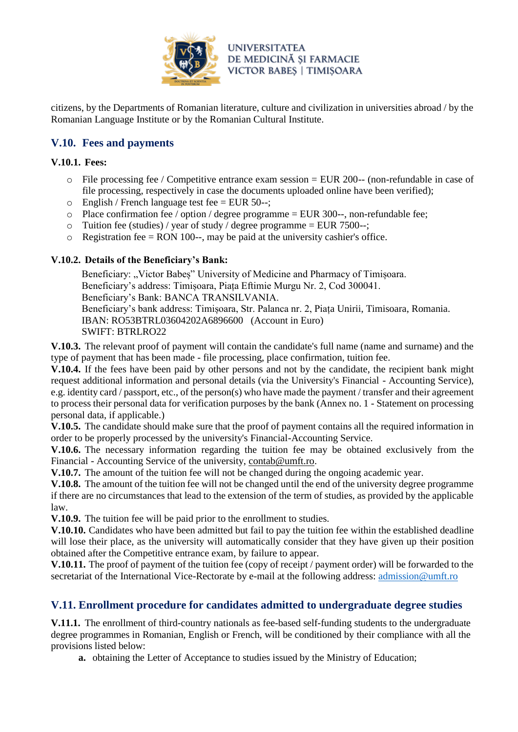

citizens, by the Departments of Romanian literature, culture and civilization in universities abroad / by the Romanian Language Institute or by the Romanian Cultural Institute.

# **V.10. Fees and payments**

### **V.10.1. Fees:**

- $\circ$  File processing fee / Competitive entrance exam session = EUR 200-- (non-refundable in case of file processing, respectively in case the documents uploaded online have been verified);
- $\circ$  English / French language test fee = EUR 50--;
- o Place confirmation fee / option / degree programme = EUR 300--, non-refundable fee;
- $\circ$  Tuition fee (studies) / year of study / degree programme = EUR 7500--;
- $\circ$  Registration fee = RON 100--, may be paid at the university cashier's office.

### **V.10.2. Details of the Beneficiary's Bank:**

Beneficiary: "Victor Babes" University of Medicine and Pharmacy of Timisoara. Beneficiary's address: Timișoara, Piața Eftimie Murgu Nr. 2, Cod 300041. Beneficiary's Bank: BANCA TRANSILVANIA.

Beneficiary's bank address: Timișoara, Str. Palanca nr. 2, Piața Unirii, Timisoara, Romania. IBAN: RO53BTRL03604202A6896600 (Account in Euro) SWIFT: BTRLRO22

**V.10.3.** The relevant proof of payment will contain the candidate's full name (name and surname) and the type of payment that has been made - file processing, place confirmation, tuition fee.

**V.10.4.** If the fees have been paid by other persons and not by the candidate, the recipient bank might request additional information and personal details (via the University's Financial - Accounting Service), e.g. identity card / passport, etc., of the person(s) who have made the payment / transfer and their agreement to process their personal data for verification purposes by the bank (Annex no. 1 - Statement on processing personal data, if applicable.)

**V.10.5.** The candidate should make sure that the proof of payment contains all the required information in order to be properly processed by the university's Financial-Accounting Service.

**V.10.6.** The necessary information regarding the tuition fee may be obtained exclusively from the Financial - Accounting Service of the university, [contab@umft.ro.](mailto:contab@umft.ro)

**V.10.7.** The amount of the tuition fee will not be changed during the ongoing academic year.

**V.10.8.** The amount of the tuition fee will not be changed until the end of the university degree programme if there are no circumstances that lead to the extension of the term of studies, as provided by the applicable law.

**V.10.9.** The tuition fee will be paid prior to the enrollment to studies.

**V.10.10.** Candidates who have been admitted but fail to pay the tuition fee within the established deadline will lose their place, as the university will automatically consider that they have given up their position obtained after the Competitive entrance exam, by failure to appear.

**V.10.11.** The proof of payment of the tuition fee (copy of receipt / payment order) will be forwarded to the secretariat of the International Vice-Rectorate by e-mail at the following address: [admission@umft.ro](mailto:admission@umft.ro)

# **V.11. Enrollment procedure for candidates admitted to undergraduate degree studies**

**V.11.1.** The enrollment of third-country nationals as fee-based self-funding students to the undergraduate degree programmes in Romanian, English or French, will be conditioned by their compliance with all the provisions listed below:

**a.** obtaining the Letter of Acceptance to studies issued by the Ministry of Education;